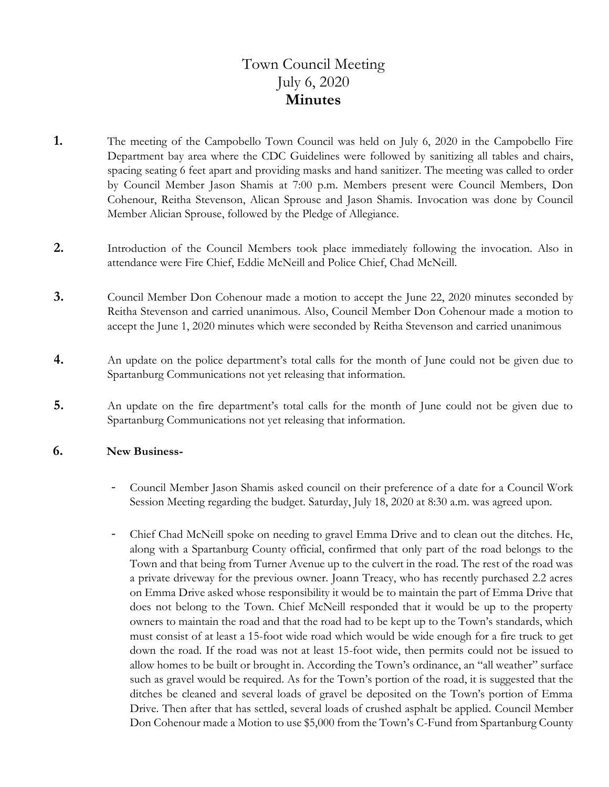# Town Council Meeting July 6, 2020 **Minutes**

- **1.** The meeting of the Campobello Town Council was held on July 6, 2020 in the Campobello Fire Department bay area where the CDC Guidelines were followed by sanitizing all tables and chairs, spacing seating 6 feet apart and providing masks and hand sanitizer. The meeting was called to order by Council Member Jason Shamis at 7:00 p.m. Members present were Council Members, Don Cohenour, Reitha Stevenson, Alican Sprouse and Jason Shamis. Invocation was done by Council Member Alician Sprouse, followed by the Pledge of Allegiance.
- **2.** Introduction of the Council Members took place immediately following the invocation. Also in attendance were Fire Chief, Eddie McNeill and Police Chief, Chad McNeill.
- **3.** Council Member Don Cohenour made a motion to accept the June 22, 2020 minutes seconded by Reitha Stevenson and carried unanimous. Also, Council Member Don Cohenour made a motion to accept the June 1, 2020 minutes which were seconded by Reitha Stevenson and carried unanimous
- **4.** An update on the police department's total calls for the month of June could not be given due to Spartanburg Communications not yet releasing that information.
- **5.** An update on the fire department's total calls for the month of June could not be given due to Spartanburg Communications not yet releasing that information.

### **6. New Business-**

- Council Member Jason Shamis asked council on their preference of a date for a Council Work Session Meeting regarding the budget. Saturday, July 18, 2020 at 8:30 a.m. was agreed upon.
- Chief Chad McNeill spoke on needing to gravel Emma Drive and to clean out the ditches. He, along with a Spartanburg County official, confirmed that only part of the road belongs to the Town and that being from Turner Avenue up to the culvert in the road. The rest of the road was a private driveway for the previous owner. Joann Treacy, who has recently purchased 2.2 acres on Emma Drive asked whose responsibility it would be to maintain the part of Emma Drive that does not belong to the Town. Chief McNeill responded that it would be up to the property owners to maintain the road and that the road had to be kept up to the Town's standards, which must consist of at least a 15-foot wide road which would be wide enough for a fire truck to get down the road. If the road was not at least 15-foot wide, then permits could not be issued to allow homes to be built or brought in. According the Town's ordinance, an "all weather" surface such as gravel would be required. As for the Town's portion of the road, it is suggested that the ditches be cleaned and several loads of gravel be deposited on the Town's portion of Emma Drive. Then after that has settled, several loads of crushed asphalt be applied. Council Member Don Cohenour made a Motion to use \$5,000 from the Town's C-Fund from Spartanburg County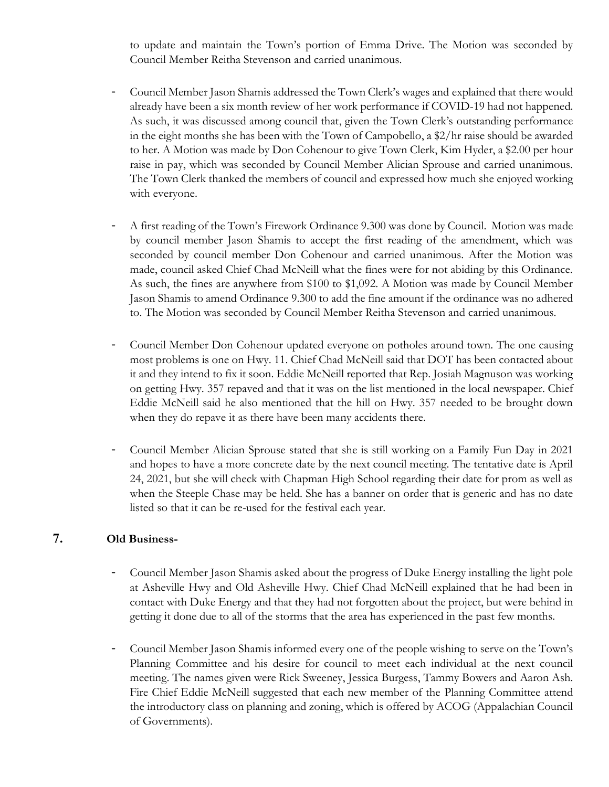to update and maintain the Town's portion of Emma Drive. The Motion was seconded by Council Member Reitha Stevenson and carried unanimous.

- Council Member Jason Shamis addressed the Town Clerk's wages and explained that there would already have been a six month review of her work performance if COVID-19 had not happened. As such, it was discussed among council that, given the Town Clerk's outstanding performance in the eight months she has been with the Town of Campobello, a \$2/hr raise should be awarded to her. A Motion was made by Don Cohenour to give Town Clerk, Kim Hyder, a \$2.00 per hour raise in pay, which was seconded by Council Member Alician Sprouse and carried unanimous. The Town Clerk thanked the members of council and expressed how much she enjoyed working with everyone.
- A first reading of the Town's Firework Ordinance 9.300 was done by Council. Motion was made by council member Jason Shamis to accept the first reading of the amendment, which was seconded by council member Don Cohenour and carried unanimous. After the Motion was made, council asked Chief Chad McNeill what the fines were for not abiding by this Ordinance. As such, the fines are anywhere from \$100 to \$1,092. A Motion was made by Council Member Jason Shamis to amend Ordinance 9.300 to add the fine amount if the ordinance was no adhered to. The Motion was seconded by Council Member Reitha Stevenson and carried unanimous.
- Council Member Don Cohenour updated everyone on potholes around town. The one causing most problems is one on Hwy. 11. Chief Chad McNeill said that DOT has been contacted about it and they intend to fix it soon. Eddie McNeill reported that Rep. Josiah Magnuson was working on getting Hwy. 357 repaved and that it was on the list mentioned in the local newspaper. Chief Eddie McNeill said he also mentioned that the hill on Hwy. 357 needed to be brought down when they do repave it as there have been many accidents there.
- Council Member Alician Sprouse stated that she is still working on a Family Fun Day in 2021 and hopes to have a more concrete date by the next council meeting. The tentative date is April 24, 2021, but she will check with Chapman High School regarding their date for prom as well as when the Steeple Chase may be held. She has a banner on order that is generic and has no date listed so that it can be re-used for the festival each year.

## **7. Old Business-**

- Council Member Jason Shamis asked about the progress of Duke Energy installing the light pole at Asheville Hwy and Old Asheville Hwy. Chief Chad McNeill explained that he had been in contact with Duke Energy and that they had not forgotten about the project, but were behind in getting it done due to all of the storms that the area has experienced in the past few months.
- Council Member Jason Shamis informed every one of the people wishing to serve on the Town's Planning Committee and his desire for council to meet each individual at the next council meeting. The names given were Rick Sweeney, Jessica Burgess, Tammy Bowers and Aaron Ash. Fire Chief Eddie McNeill suggested that each new member of the Planning Committee attend the introductory class on planning and zoning, which is offered by ACOG (Appalachian Council of Governments).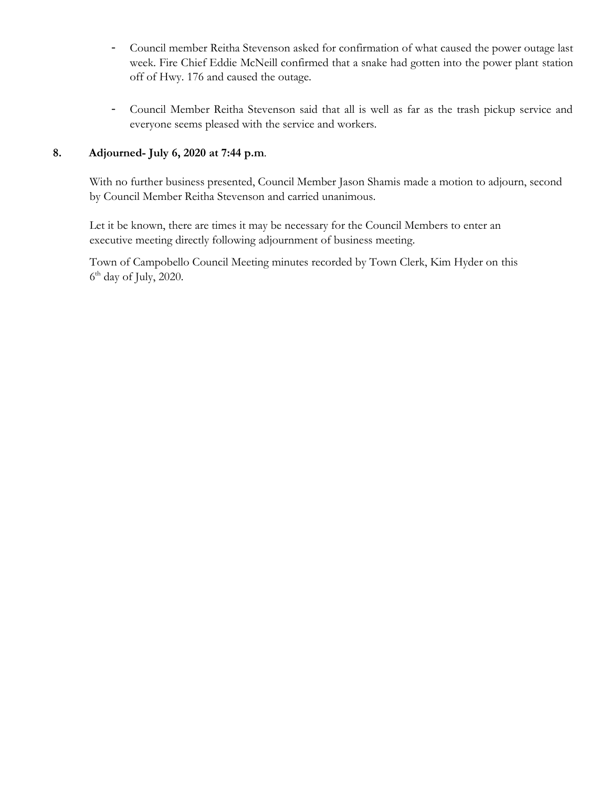- Council member Reitha Stevenson asked for confirmation of what caused the power outage last week. Fire Chief Eddie McNeill confirmed that a snake had gotten into the power plant station off of Hwy. 176 and caused the outage.
- Council Member Reitha Stevenson said that all is well as far as the trash pickup service and everyone seems pleased with the service and workers.

## **8. Adjourned- July 6, 2020 at 7:44 p.m**.

With no further business presented, Council Member Jason Shamis made a motion to adjourn, second by Council Member Reitha Stevenson and carried unanimous.

 Let it be known, there are times it may be necessary for the Council Members to enter an executive meeting directly following adjournment of business meeting.

 Town of Campobello Council Meeting minutes recorded by Town Clerk, Kim Hyder on this  $6<sup>th</sup>$  day of July, 2020.